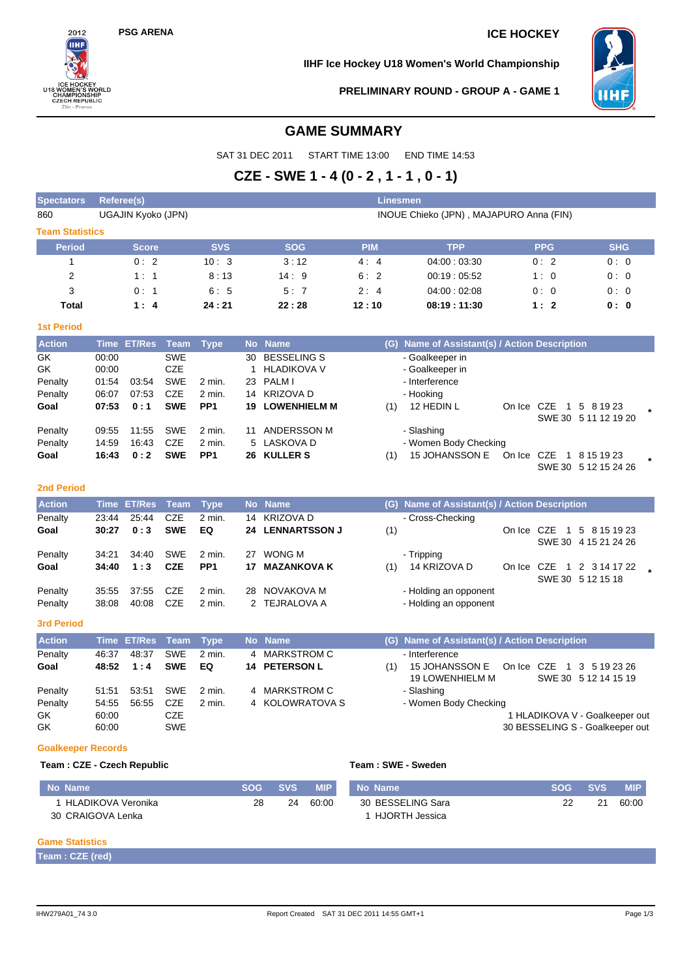# **PSG ARENA ICE HOCKEY**



**IIHF Ice Hockey U18 Women's World Championship**



**PRELIMINARY ROUND - GROUP A - GAME 1**

# **GAME SUMMARY**

SAT 31 DEC 2011 START TIME 13:00 END TIME 14:53

# **CZE - SWE 1 - 4 (0 - 2 , 1 - 1 , 0 - 1)**

| <b>Spectators</b>      | <b>Linesmen</b><br>Referee(s) |               |             |                 |           |                         |            |                                         |                                               |            |              |                                |  |         |  |  |  |
|------------------------|-------------------------------|---------------|-------------|-----------------|-----------|-------------------------|------------|-----------------------------------------|-----------------------------------------------|------------|--------------|--------------------------------|--|---------|--|--|--|
| 860                    | UGAJIN Kyoko (JPN)            |               |             |                 |           |                         |            | INOUE Chieko (JPN), MAJAPURO Anna (FIN) |                                               |            |              |                                |  |         |  |  |  |
| <b>Team Statistics</b> |                               |               |             |                 |           |                         |            |                                         |                                               |            |              |                                |  |         |  |  |  |
| <b>Period</b>          |                               | <b>Score</b>  |             | <b>SVS</b>      |           | <b>SOG</b>              | <b>PIM</b> |                                         | <b>TPP</b>                                    |            | <b>PPG</b>   | <b>SHG</b>                     |  |         |  |  |  |
| $\mathbf{1}$           |                               | 0:2           |             | 10:3            |           | 3:12                    | 4:4        |                                         | 04:00:03:30                                   |            | 0:2          | 0:0                            |  |         |  |  |  |
| 2                      |                               | 1:1           |             | 8:13            |           | 14:9                    | 6:2        |                                         | 00:19:05.52                                   |            | 1:0          | 0:0                            |  |         |  |  |  |
| 3                      |                               | 0:1           |             | 6:5             |           | 5:7                     | 2:4        |                                         | 04:00:02:08                                   |            | 0:0          | 0:0                            |  |         |  |  |  |
| <b>Total</b>           |                               | 1:4           |             | 24:21           |           | 22:28                   | 12:10      |                                         | 08:19:11:30                                   |            | 1:2          | 0:0                            |  |         |  |  |  |
| <b>1st Period</b>      |                               |               |             |                 |           |                         |            |                                         |                                               |            |              |                                |  |         |  |  |  |
| <b>Action</b>          |                               | Time ET/Res   | Team        | <b>Type</b>     |           | No Name                 |            |                                         | (G) Name of Assistant(s) / Action Description |            |              |                                |  |         |  |  |  |
| GK                     | 00:00                         |               | <b>SWE</b>  |                 | 30        | <b>BESSELING S</b>      |            |                                         | - Goalkeeper in                               |            |              |                                |  |         |  |  |  |
| GK                     | 00:00                         |               | <b>CZE</b>  |                 | 1         | <b>HLADIKOVA V</b>      |            |                                         | - Goalkeeper in                               |            |              |                                |  |         |  |  |  |
| Penalty                | 01:54                         | 03:54         | <b>SWE</b>  | 2 min.          | 23        | <b>PALMI</b>            |            |                                         | - Interference                                |            |              |                                |  |         |  |  |  |
| Penalty                | 06:07                         | 07:53         | <b>CZE</b>  | 2 min.          |           | 14 KRIZOVA D            |            |                                         | - Hooking                                     |            |              |                                |  |         |  |  |  |
| Goal                   | 07:53                         | 0:1           | <b>SWE</b>  | PP <sub>1</sub> | 19        | <b>LOWENHIELM M</b>     |            | (1)                                     | 12 HEDIN L                                    | On Ice CZE |              | 1 5 8 19 23                    |  |         |  |  |  |
|                        |                               |               |             |                 |           |                         |            |                                         |                                               |            |              | SWE 30 5 11 12 19 20           |  |         |  |  |  |
| Penalty                | 09:55                         | 11:55         | <b>SWE</b>  | 2 min.          | 11        | <b>ANDERSSON M</b>      |            |                                         | - Slashing                                    |            |              |                                |  |         |  |  |  |
| Penalty                | 14:59                         | 16:43         | <b>CZE</b>  | 2 min.          | 5         | LASKOVA D               |            |                                         | - Women Body Checking                         |            |              |                                |  |         |  |  |  |
| Goal                   | 16:43                         | 0:2           | <b>SWE</b>  | PP <sub>1</sub> |           | 26 KULLER S             |            | (1)                                     | 15 JOHANSSON E                                | On Ice CZE |              | 1 8 15 19 23                   |  | $\star$ |  |  |  |
|                        |                               |               |             |                 |           |                         |            |                                         |                                               |            |              | SWE 30 5 12 15 24 26           |  |         |  |  |  |
| <b>2nd Period</b>      |                               |               |             |                 |           |                         |            |                                         |                                               |            |              |                                |  |         |  |  |  |
| <b>Action</b>          | <b>Time</b>                   | <b>ET/Res</b> | <b>Team</b> | <b>Type</b>     |           | No Name                 |            |                                         | (G) Name of Assistant(s) / Action Description |            |              |                                |  |         |  |  |  |
| Penalty                | 23:44                         | 25:44         | CZE         | 2 min.          | 14        | <b>KRIZOVA D</b>        |            |                                         | - Cross-Checking                              |            |              |                                |  |         |  |  |  |
| Goal                   | 30:27                         | 0:3           | <b>SWE</b>  | EQ              |           | <b>24 LENNARTSSON J</b> |            | (1)                                     |                                               |            | On Ice CZE 1 | 5 8 15 19 23                   |  |         |  |  |  |
|                        |                               |               |             |                 |           |                         |            |                                         |                                               |            |              | SWE 30 4 15 21 24 26           |  |         |  |  |  |
| Penalty                | 34:21                         | 34:40         | <b>SWE</b>  | 2 min.          |           | 27 WONG M               |            |                                         | - Tripping                                    |            |              |                                |  |         |  |  |  |
| Goal                   | 34:40                         | 1:3           | <b>CZE</b>  | PP <sub>1</sub> | 17        | <b>MAZANKOVA K</b>      |            | (1)                                     | 14 KRIZOVA D                                  |            |              | On Ice CZE 1 2 3 14 17 22      |  |         |  |  |  |
|                        |                               |               |             |                 |           |                         |            |                                         |                                               |            |              | SWE 30 5 12 15 18              |  |         |  |  |  |
| Penalty                | 35:55                         | 37:55         | <b>CZE</b>  | 2 min.          |           | 28 NOVAKOVA M           |            |                                         | - Holding an opponent                         |            |              |                                |  |         |  |  |  |
| Penalty                | 38:08                         | 40:08         | <b>CZE</b>  | 2 min.          |           | 2 TEJRALOVA A           |            |                                         | - Holding an opponent                         |            |              |                                |  |         |  |  |  |
| <b>3rd Period</b>      |                               |               |             |                 |           |                         |            |                                         |                                               |            |              |                                |  |         |  |  |  |
|                        |                               |               |             |                 |           |                         |            |                                         |                                               |            |              |                                |  |         |  |  |  |
| <b>Action</b>          | <b>Time</b>                   | <b>ET/Res</b> | <b>Team</b> | <b>Type</b>     | <b>No</b> | <b>Name</b>             |            |                                         | (G) Name of Assistant(s) / Action Description |            |              |                                |  |         |  |  |  |
| Penalty                | 46:37                         | 48:37         | <b>SWE</b>  | 2 min.          | 4         | <b>MARKSTROM C</b>      |            |                                         | - Interference                                |            |              |                                |  |         |  |  |  |
| Goal                   | 48:52                         | 1:4           | <b>SWE</b>  | EQ              |           | <b>14 PETERSON L</b>    |            | (1)                                     | 15 JOHANSSON E                                | On Ice CZE |              | 1 3 5 19 23 26                 |  |         |  |  |  |
|                        |                               |               |             |                 |           |                         |            |                                         | <b>19 LOWENHIELM M</b>                        |            |              | SWE 30 5 12 14 15 19           |  |         |  |  |  |
| Penalty                | 51:51                         | 53:51         | <b>SWE</b>  | 2 min.          | 4         | <b>MARKSTROM C</b>      |            |                                         | - Slashing                                    |            |              |                                |  |         |  |  |  |
| Penalty                | 54:55                         | 56:55         | <b>CZE</b>  | 2 min.          |           | 4 KOLOWRATOVA S         |            |                                         | - Women Body Checking                         |            |              |                                |  |         |  |  |  |
| GK                     | 60:00                         |               | <b>CZE</b>  |                 |           |                         |            |                                         |                                               |            |              | 1 HLADIKOVA V - Goalkeeper out |  |         |  |  |  |

GK 60:00 SWE SWE SUNFALL SERVICES SUPERFORM SO BESSELING S - Goalkeeper out

#### **Goalkeeper Records**

#### **Team : CZE - Czech Republic Team : SWE - Sweden**

| No Name            | <b>SOG</b> | <b>SVS</b> | <b>MIP</b> | No Name           | <b>SOG</b> | <b>SVS</b> | <b>MIP</b> |
|--------------------|------------|------------|------------|-------------------|------------|------------|------------|
| HLADIKOVA Veronika | 28         | 24         | 60:00      | 30 BESSELING Sara |            | 21         | 60:00      |
| 30 CRAIGOVA Lenka  |            |            |            | HJORTH Jessica    |            |            |            |

## **Game Statistics**

**Team : CZE (red)**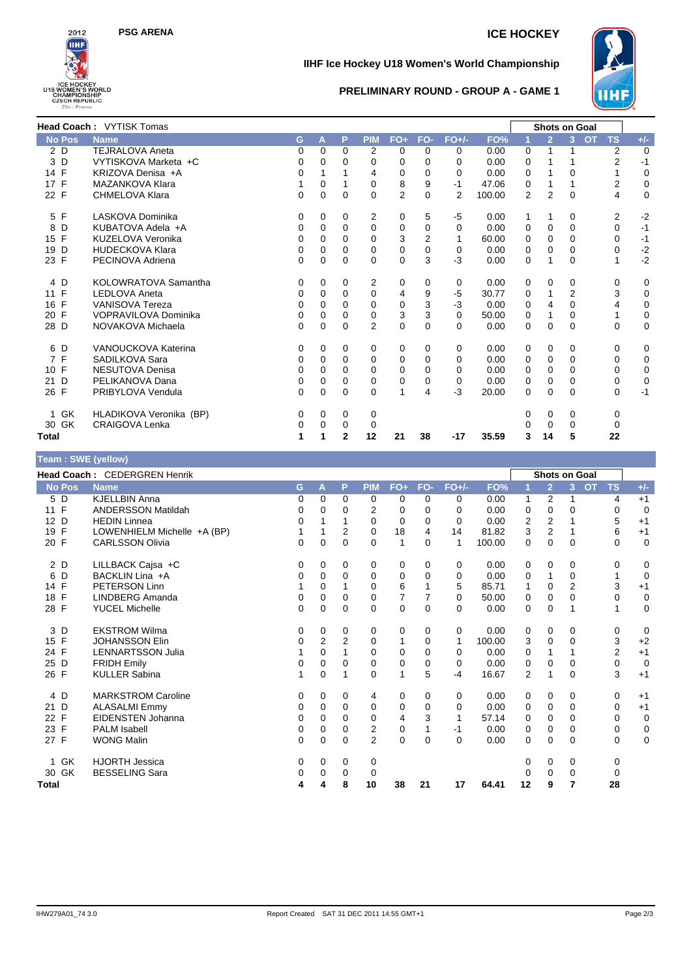

## **PSG ARENA ICE HOCKEY**

### **IIHF Ice Hockey U18 Women's World Championship**



## **PRELIMINARY ROUND - GROUP A - GAME 1**

|               | <b>Head Coach: VYTISK Tomas</b> |   |          |                |                |                |                |                |        | <b>Shots on Goal</b> |                |              |           |                |             |
|---------------|---------------------------------|---|----------|----------------|----------------|----------------|----------------|----------------|--------|----------------------|----------------|--------------|-----------|----------------|-------------|
| <b>No Pos</b> | <b>Name</b>                     | G | A        | P              | <b>PIM</b>     | $FO+$          | FO-            | $FO+/-$        | FO%    | 1                    | $\overline{2}$ | 3            | <b>OT</b> | <b>TS</b>      | $+/-$       |
| 2D            | <b>TEJRALOVA Aneta</b>          | 0 | 0        | 0              | 2              | $\Omega$       | $\Omega$       | 0              | 0.00   | 0                    |                |              |           | 2              | $\mathbf 0$ |
| 3D            | VYTISKOVA Marketa +C            | 0 | 0        | 0              | 0              | 0              | $\Omega$       | $\Omega$       | 0.00   | 0                    |                |              |           | $\overline{2}$ | $-1$        |
| 14 F          | KRIZOVA Denisa +A               | 0 |          |                | 4              | 0              | 0              | $\Omega$       | 0.00   | 0                    |                | 0            |           |                | $\mathbf 0$ |
| 17 F          | MAZANKOVA Klara                 |   | 0        |                | 0              | 8              | 9              | $-1$           | 47.06  | 0                    |                |              |           | $\overline{2}$ | 0           |
| 22 F          | <b>CHMELOVA Klara</b>           | 0 | 0        | $\Omega$       | 0              | $\overline{2}$ | $\Omega$       | $\overline{2}$ | 100.00 | 2                    | $\overline{2}$ | $\mathbf{0}$ |           | 4              | 0           |
| F<br>5        | LASKOVA Dominika                | 0 | 0        | 0              | 2              | 0              | 5              | -5             | 0.00   | 1                    | 1              | 0            |           | 2              | $-2$        |
| 8<br>D        | KUBATOVA Adela +A               | 0 | 0        | $\Omega$       | 0              | 0              | $\Omega$       | $\Omega$       | 0.00   | 0                    | 0              | 0            |           | 0              | $-1$        |
| 15 F          | KUZELOVA Veronika               | 0 | 0        | 0              | $\Omega$       | 3              | $\overline{2}$ |                | 60.00  | 0                    | 0              | 0            |           | 0              | $-1$        |
| D<br>19       | <b>HUDECKOVA Klara</b>          | 0 | $\Omega$ | 0              | 0              | 0              | $\Omega$       | 0              | 0.00   | 0                    | 0              | 0            |           | 0              | $-2$        |
| 23 F          | PECINOVA Adriena                | 0 | $\Omega$ | 0              | 0              | $\Omega$       | 3              | $-3$           | 0.00   | $\Omega$             |                | 0            |           | 1              | $-2$        |
| 4 D           | KOLOWRATOVA Samantha            | 0 | 0        | 0              | 2              | 0              | $\Omega$       | 0              | 0.00   | 0                    | 0              | 0            |           | 0              | 0           |
| 11 F          | <b>LEDLOVA Aneta</b>            | 0 | $\Omega$ | $\Omega$       | $\Omega$       | 4              | 9              | $-5$           | 30.77  | 0                    | 1              | 2            |           | 3              | 0           |
| 16 F          | <b>VANISOVA Tereza</b>          | 0 | 0        | 0              | 0              | 0              | 3              | $-3$           | 0.00   | 0                    | 4              | 0            |           | 4              | 0           |
| 20 F          | VOPRAVILOVA Dominika            | 0 | $\Omega$ | 0              | 0              | 3              | 3              | $\Omega$       | 50.00  | 0                    |                | 0            |           | 1              | 0           |
| 28 D          | NOVAKOVA Michaela               | 0 | $\Omega$ | 0              | $\overline{2}$ | $\overline{0}$ | $\Omega$       | $\Omega$       | 0.00   | 0                    | $\Omega$       | 0            |           | $\mathbf 0$    | 0           |
| 6 D           | VANOUCKOVA Katerina             | 0 | 0        | $\Omega$       | 0              | 0              | $\Omega$       | 0              | 0.00   | 0                    | 0              | 0            |           | 0              | 0           |
| 7 F           | SADILKOVA Sara                  | 0 | 0        | 0              | 0              | 0              | $\Omega$       | $\Omega$       | 0.00   | 0                    | 0              | 0            |           | 0              | 0           |
| 10 F          | <b>NESUTOVA Denisa</b>          | 0 | 0        | 0              | $\Omega$       | 0              | 0              | $\Omega$       | 0.00   | 0                    | $\Omega$       | 0            |           | $\Omega$       | 0           |
| 21<br>D       | PELIKANOVA Dana                 | 0 | $\Omega$ | 0              | 0              | 0              | 0              | 0              | 0.00   | 0                    | 0              | 0            |           | 0              | 0           |
| 26 F          | PRIBYLOVA Vendula               | 0 | $\Omega$ | $\Omega$       | $\Omega$       | 1              | 4              | -3             | 20.00  | $\Omega$             | $\Omega$       | 0            |           | $\Omega$       | $-1$        |
| 1 GK          | HLADIKOVA Veronika (BP)         | 0 | 0        | $\Omega$       | 0              |                |                |                |        | 0                    | 0              | 0            |           | 0              |             |
| 30 GK         | CRAIGOVA Lenka                  | 0 | 0        | 0              | 0              |                |                |                |        | 0                    | 0              | 0            |           | 0              |             |
| Total         |                                 | 1 |          | $\overline{2}$ | 12             | 21             | 38             | $-17$          | 35.59  | 3                    | 14             | 5            |           | 22             |             |

## **Team : SWE (yellow) Head Coach :** CEDERGREN Henrik **Shots on Goal No Pos Name G A P PIM FO+ FO- FO+/- FO% 1 2 3 OT TS +/-** 5 D KJELLBIN Anna 0 0 0 0 0 0 0 0.00 1 2 1 4 +1 11 F ANDERSSON Matildah 0 0 0 2 0 0 0 0.00 0 0 0 0 0 12 D HEDIN Linnea 0 1 1 0 0 0 0 0.00 2 2 1 5 +1 19 F LOWENHIELM Michelle +A (BP) 1 1 2 0 18 4 14 81.82 3 2 1 6 +1 20 F CARLSSON Olivia 0 0 0 0 1 0 1 100.00 0 0 0 0 0 2 D LILLBACK Cajsa +C 0 0 0 0 0 0 0 0.00 0 0 0 0 0 6 D BACKLIN Lina +A 0 0 0 0 0 0 0 0.00 0 1 0 1 0 14 F PETERSON Linn 1 0 1 0 6 1 5 85.71 1 0 2 3 +1 18 F LINDBERG Amanda 0 0 0 0 7 7 0 50.00 0 0 0 0 0 28 F YUCEL Michelle 0 0 0 0 0 0 0 0.00 0 0 1 1 0 3 D EKSTROM Wilma 0 0 0 0 0 0 0 0.00 0 0 0 0 0 15 F JOHANSSON Elin 0 2 2 0 1 0 1 100.00 3 0 0 3 +2 24 F LENNARTSSON Julia 1 0 1 0 0 0 0 0.00 0 1 1 2 +1 25 D FRIDH Emily 0 0 0 0 0 0 0 0.00 0 0 0 0 0 26 F KULLER Sabina 1 0 1 0 1 5 -4 16.67 2 1 0 3 +1 4 D MARKSTROM Caroline 0 0 0 4 0 0 0 0.00 0 0 0 0 +1 21 D ALASALMI Emmy 0 0 0 0 0 0 0 0.00 0 0 0 0 +1 22 F EIDENSTEN Johanna 0 0 0 0 4 3 1<br>23 F PALM Isabell 0 0 0 2 0 1 -1 23 F PALM Isabell 0 0 0 2 0 1 -1 0.00 0 0 0 0 0 27 F WONG Malin 0 0 0 2 0 0 0 0.00 0 0 0 0 0 1 GK HJORTH Jessica 0 0 0 0 0 0 0 0

30 GK BESSELING Sara 0 0 0 0 0 0 0 0 **Total 4 4 8 10 38 21 17 64.41 12 9 7 28**